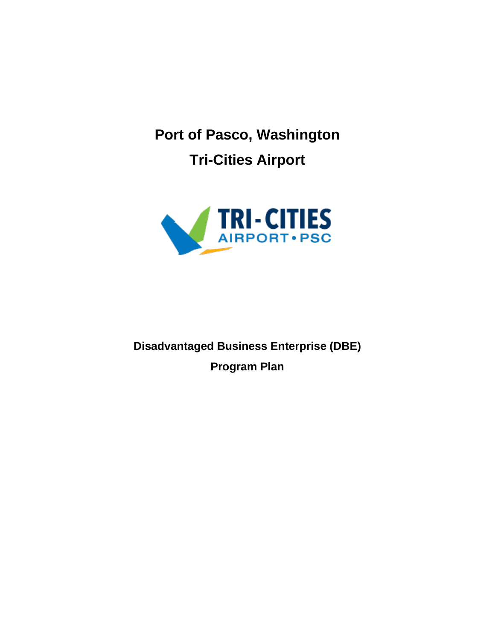**Port of Pasco, Washington Tri-Cities Airport**



**Disadvantaged Business Enterprise (DBE) Program Plan**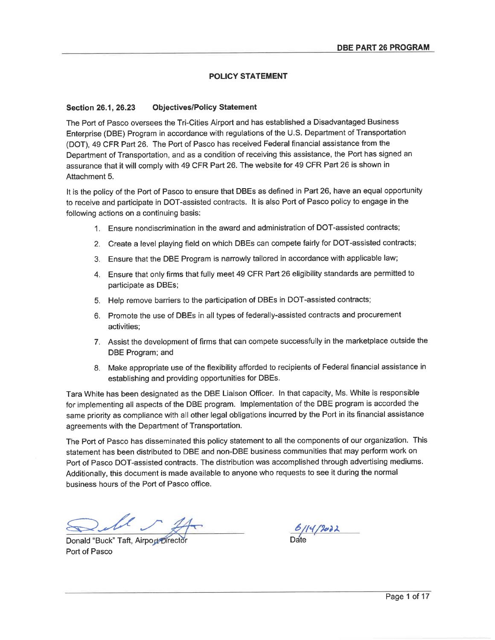### **POLICY STATEMENT**

#### **Objectives/Policy Statement Section 26.1, 26.23**

The Port of Pasco oversees the Tri-Cities Airport and has established a Disadvantaged Business Enterprise (DBE) Program in accordance with regulations of the U.S. Department of Transportation (DOT), 49 CFR Part 26. The Port of Pasco has received Federal financial assistance from the Department of Transportation, and as a condition of receiving this assistance, the Port has signed an assurance that it will comply with 49 CFR Part 26. The website for 49 CFR Part 26 is shown in Attachment 5.

It is the policy of the Port of Pasco to ensure that DBEs as defined in Part 26, have an equal opportunity to receive and participate in DOT-assisted contracts. It is also Port of Pasco policy to engage in the following actions on a continuing basis:

- 1. Ensure nondiscrimination in the award and administration of DOT-assisted contracts;
- 2. Create a level playing field on which DBEs can compete fairly for DOT-assisted contracts;
- 3. Ensure that the DBE Program is narrowly tailored in accordance with applicable law;
- 4. Ensure that only firms that fully meet 49 CFR Part 26 eligibility standards are permitted to participate as DBEs;
- 5. Help remove barriers to the participation of DBEs in DOT-assisted contracts;
- 6. Promote the use of DBEs in all types of federally-assisted contracts and procurement activities:
- 7. Assist the development of firms that can compete successfully in the marketplace outside the DBE Program; and
- 8. Make appropriate use of the flexibility afforded to recipients of Federal financial assistance in establishing and providing opportunities for DBEs.

Tara White has been designated as the DBE Liaison Officer. In that capacity, Ms. White is responsible for implementing all aspects of the DBE program. Implementation of the DBE program is accorded the same priority as compliance with all other legal obligations incurred by the Port in its financial assistance agreements with the Department of Transportation.

The Port of Pasco has disseminated this policy statement to all the components of our organization. This statement has been distributed to DBE and non-DBE business communities that may perform work on Port of Pasco DOT-assisted contracts. The distribution was accomplished through advertising mediums. Additionally, this document is made available to anyone who requests to see it during the normal business hours of the Port of Pasco office.

Donald "Buck" Taft, Airport Director Port of Pasco

 $6114/2022$ 

Page 1 of 17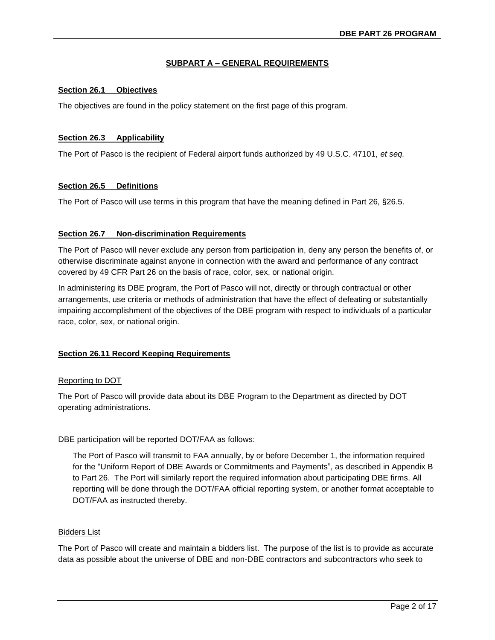### **SUBPART A – GENERAL REQUIREMENTS**

#### **Section 26.1 Objectives**

The objectives are found in the policy statement on the first page of this program.

#### **Section 26.3 Applicability**

The Port of Pasco is the recipient of Federal airport funds authorized by 49 U.S.C. 47101, *et seq.* 

#### **Section 26.5 Definitions**

The Port of Pasco will use terms in this program that have the meaning defined in Part 26, §26.5.

#### **Section 26.7 Non-discrimination Requirements**

The Port of Pasco will never exclude any person from participation in, deny any person the benefits of, or otherwise discriminate against anyone in connection with the award and performance of any contract covered by 49 CFR Part 26 on the basis of race, color, sex, or national origin.

In administering its DBE program, the Port of Pasco will not, directly or through contractual or other arrangements, use criteria or methods of administration that have the effect of defeating or substantially impairing accomplishment of the objectives of the DBE program with respect to individuals of a particular race, color, sex, or national origin.

### **Section 26.11 Record Keeping Requirements**

### Reporting to DOT

The Port of Pasco will provide data about its DBE Program to the Department as directed by DOT operating administrations.

DBE participation will be reported DOT/FAA as follows:

The Port of Pasco will transmit to FAA annually, by or before December 1, the information required for the "Uniform Report of DBE Awards or Commitments and Payments", as described in Appendix B to Part 26. The Port will similarly report the required information about participating DBE firms. All reporting will be done through the DOT/FAA official reporting system, or another format acceptable to DOT/FAA as instructed thereby.

#### Bidders List

The Port of Pasco will create and maintain a bidders list. The purpose of the list is to provide as accurate data as possible about the universe of DBE and non-DBE contractors and subcontractors who seek to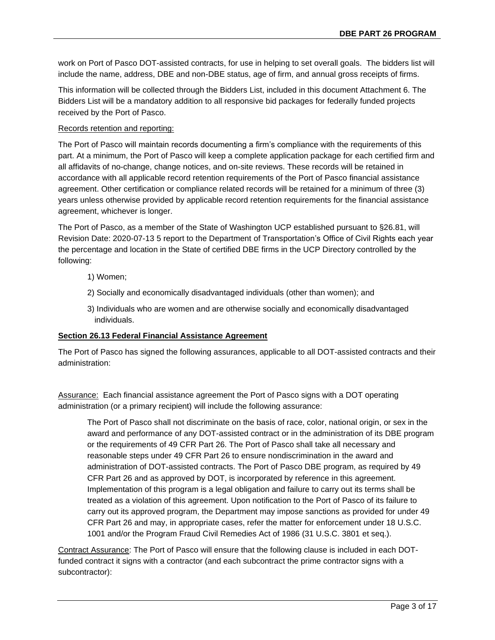work on Port of Pasco DOT-assisted contracts, for use in helping to set overall goals. The bidders list will include the name, address, DBE and non-DBE status, age of firm, and annual gross receipts of firms.

This information will be collected through the Bidders List, included in this document Attachment 6. The Bidders List will be a mandatory addition to all responsive bid packages for federally funded projects received by the Port of Pasco.

### Records retention and reporting:

The Port of Pasco will maintain records documenting a firm's compliance with the requirements of this part. At a minimum, the Port of Pasco will keep a complete application package for each certified firm and all affidavits of no-change, change notices, and on-site reviews. These records will be retained in accordance with all applicable record retention requirements of the Port of Pasco financial assistance agreement. Other certification or compliance related records will be retained for a minimum of three (3) years unless otherwise provided by applicable record retention requirements for the financial assistance agreement, whichever is longer.

The Port of Pasco, as a member of the State of Washington UCP established pursuant to §26.81, will Revision Date: 2020-07-13 5 report to the Department of Transportation's Office of Civil Rights each year the percentage and location in the State of certified DBE firms in the UCP Directory controlled by the following:

- 1) Women;
- 2) Socially and economically disadvantaged individuals (other than women); and
- 3) Individuals who are women and are otherwise socially and economically disadvantaged individuals.

### **Section 26.13 Federal Financial Assistance Agreement**

The Port of Pasco has signed the following assurances, applicable to all DOT-assisted contracts and their administration:

Assurance: Each financial assistance agreement the Port of Pasco signs with a DOT operating administration (or a primary recipient) will include the following assurance:

The Port of Pasco shall not discriminate on the basis of race, color, national origin, or sex in the award and performance of any DOT-assisted contract or in the administration of its DBE program or the requirements of 49 CFR Part 26. The Port of Pasco shall take all necessary and reasonable steps under 49 CFR Part 26 to ensure nondiscrimination in the award and administration of DOT-assisted contracts. The Port of Pasco DBE program, as required by 49 CFR Part 26 and as approved by DOT, is incorporated by reference in this agreement. Implementation of this program is a legal obligation and failure to carry out its terms shall be treated as a violation of this agreement. Upon notification to the Port of Pasco of its failure to carry out its approved program, the Department may impose sanctions as provided for under 49 CFR Part 26 and may, in appropriate cases, refer the matter for enforcement under 18 U.S.C. 1001 and/or the Program Fraud Civil Remedies Act of 1986 (31 U.S.C. 3801 et seq.).

Contract Assurance: The Port of Pasco will ensure that the following clause is included in each DOTfunded contract it signs with a contractor (and each subcontract the prime contractor signs with a subcontractor):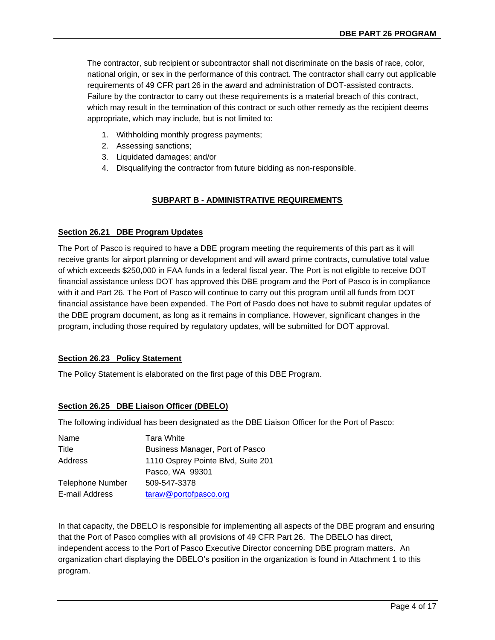The contractor, sub recipient or subcontractor shall not discriminate on the basis of race, color, national origin, or sex in the performance of this contract. The contractor shall carry out applicable requirements of 49 CFR part 26 in the award and administration of DOT-assisted contracts. Failure by the contractor to carry out these requirements is a material breach of this contract, which may result in the termination of this contract or such other remedy as the recipient deems appropriate, which may include, but is not limited to:

- 1. Withholding monthly progress payments;
- 2. Assessing sanctions;
- 3. Liquidated damages; and/or
- 4. Disqualifying the contractor from future bidding as non-responsible.

# **SUBPART B - ADMINISTRATIVE REQUIREMENTS**

### **Section 26.21 DBE Program Updates**

The Port of Pasco is required to have a DBE program meeting the requirements of this part as it will receive grants for airport planning or development and will award prime contracts, cumulative total value of which exceeds \$250,000 in FAA funds in a federal fiscal year. The Port is not eligible to receive DOT financial assistance unless DOT has approved this DBE program and the Port of Pasco is in compliance with it and Part 26. The Port of Pasco will continue to carry out this program until all funds from DOT financial assistance have been expended. The Port of Pasdo does not have to submit regular updates of the DBE program document, as long as it remains in compliance. However, significant changes in the program, including those required by regulatory updates, will be submitted for DOT approval.

# **Section 26.23 Policy Statement**

The Policy Statement is elaborated on the first page of this DBE Program.

# **Section 26.25 DBE Liaison Officer (DBELO)**

The following individual has been designated as the DBE Liaison Officer for the Port of Pasco:

| Tara White                         |
|------------------------------------|
| Business Manager, Port of Pasco    |
| 1110 Osprey Pointe Blvd, Suite 201 |
| Pasco, WA 99301                    |
| 509-547-3378                       |
| taraw@portofpasco.org              |
|                                    |

In that capacity, the DBELO is responsible for implementing all aspects of the DBE program and ensuring that the Port of Pasco complies with all provisions of 49 CFR Part 26. The DBELO has direct, independent access to the Port of Pasco Executive Director concerning DBE program matters. An organization chart displaying the DBELO's position in the organization is found in Attachment 1 to this program.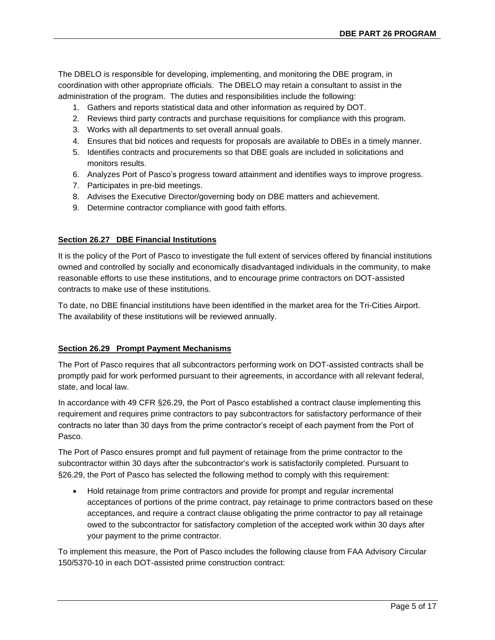The DBELO is responsible for developing, implementing, and monitoring the DBE program, in coordination with other appropriate officials. The DBELO may retain a consultant to assist in the administration of the program. The duties and responsibilities include the following:

- 1. Gathers and reports statistical data and other information as required by DOT.
- 2. Reviews third party contracts and purchase requisitions for compliance with this program.
- 3. Works with all departments to set overall annual goals.
- 4. Ensures that bid notices and requests for proposals are available to DBEs in a timely manner.
- 5. Identifies contracts and procurements so that DBE goals are included in solicitations and monitors results.
- 6. Analyzes Port of Pasco's progress toward attainment and identifies ways to improve progress.
- 7. Participates in pre-bid meetings.
- 8. Advises the Executive Director/governing body on DBE matters and achievement.
- 9. Determine contractor compliance with good faith efforts.

# **Section 26.27 DBE Financial Institutions**

It is the policy of the Port of Pasco to investigate the full extent of services offered by financial institutions owned and controlled by socially and economically disadvantaged individuals in the community, to make reasonable efforts to use these institutions, and to encourage prime contractors on DOT-assisted contracts to make use of these institutions.

To date, no DBE financial institutions have been identified in the market area for the Tri-Cities Airport. The availability of these institutions will be reviewed annually.

# **Section 26.29 Prompt Payment Mechanisms**

The Port of Pasco requires that all subcontractors performing work on DOT-assisted contracts shall be promptly paid for work performed pursuant to their agreements, in accordance with all relevant federal, state, and local law.

In accordance with 49 CFR §26.29, the Port of Pasco established a contract clause implementing this requirement and requires prime contractors to pay subcontractors for satisfactory performance of their contracts no later than 30 days from the prime contractor's receipt of each payment from the Port of Pasco.

The Port of Pasco ensures prompt and full payment of retainage from the prime contractor to the subcontractor within 30 days after the subcontractor's work is satisfactorily completed. Pursuant to §26.29, the Port of Pasco has selected the following method to comply with this requirement:

• Hold retainage from prime contractors and provide for prompt and regular incremental acceptances of portions of the prime contract, pay retainage to prime contractors based on these acceptances, and require a contract clause obligating the prime contractor to pay all retainage owed to the subcontractor for satisfactory completion of the accepted work within 30 days after your payment to the prime contractor.

To implement this measure, the Port of Pasco includes the following clause from FAA Advisory Circular 150/5370-10 in each DOT-assisted prime construction contract: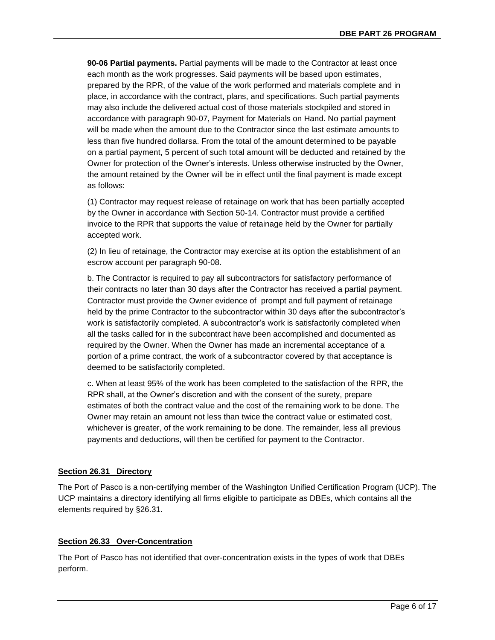**90-06 Partial payments.** Partial payments will be made to the Contractor at least once each month as the work progresses. Said payments will be based upon estimates, prepared by the RPR, of the value of the work performed and materials complete and in place, in accordance with the contract, plans, and specifications. Such partial payments may also include the delivered actual cost of those materials stockpiled and stored in accordance with paragraph 90-07, Payment for Materials on Hand. No partial payment will be made when the amount due to the Contractor since the last estimate amounts to less than five hundred dollarsa. From the total of the amount determined to be payable on a partial payment, 5 percent of such total amount will be deducted and retained by the Owner for protection of the Owner's interests. Unless otherwise instructed by the Owner, the amount retained by the Owner will be in effect until the final payment is made except as follows:

(1) Contractor may request release of retainage on work that has been partially accepted by the Owner in accordance with Section 50-14. Contractor must provide a certified invoice to the RPR that supports the value of retainage held by the Owner for partially accepted work.

(2) In lieu of retainage, the Contractor may exercise at its option the establishment of an escrow account per paragraph 90-08.

b. The Contractor is required to pay all subcontractors for satisfactory performance of their contracts no later than 30 days after the Contractor has received a partial payment. Contractor must provide the Owner evidence of prompt and full payment of retainage held by the prime Contractor to the subcontractor within 30 days after the subcontractor's work is satisfactorily completed. A subcontractor's work is satisfactorily completed when all the tasks called for in the subcontract have been accomplished and documented as required by the Owner. When the Owner has made an incremental acceptance of a portion of a prime contract, the work of a subcontractor covered by that acceptance is deemed to be satisfactorily completed.

c. When at least 95% of the work has been completed to the satisfaction of the RPR, the RPR shall, at the Owner's discretion and with the consent of the surety, prepare estimates of both the contract value and the cost of the remaining work to be done. The Owner may retain an amount not less than twice the contract value or estimated cost, whichever is greater, of the work remaining to be done. The remainder, less all previous payments and deductions, will then be certified for payment to the Contractor.

# **Section 26.31 Directory**

The Port of Pasco is a non-certifying member of the Washington Unified Certification Program (UCP). The UCP maintains a directory identifying all firms eligible to participate as DBEs, which contains all the elements required by §26.31.

### **Section 26.33 Over-Concentration**

The Port of Pasco has not identified that over-concentration exists in the types of work that DBEs perform.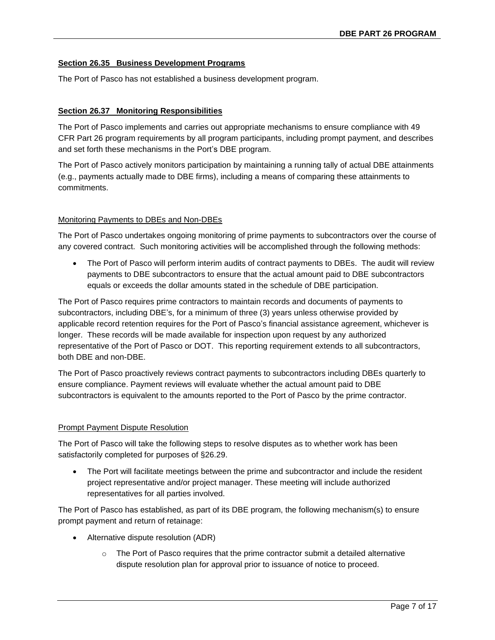### **Section 26.35 Business Development Programs**

The Port of Pasco has not established a business development program.

### **Section 26.37 Monitoring Responsibilities**

The Port of Pasco implements and carries out appropriate mechanisms to ensure compliance with 49 CFR Part 26 program requirements by all program participants, including prompt payment, and describes and set forth these mechanisms in the Port's DBE program.

The Port of Pasco actively monitors participation by maintaining a running tally of actual DBE attainments (e.g., payments actually made to DBE firms), including a means of comparing these attainments to commitments.

### Monitoring Payments to DBEs and Non-DBEs

The Port of Pasco undertakes ongoing monitoring of prime payments to subcontractors over the course of any covered contract. Such monitoring activities will be accomplished through the following methods:

The Port of Pasco will perform interim audits of contract payments to DBEs. The audit will review payments to DBE subcontractors to ensure that the actual amount paid to DBE subcontractors equals or exceeds the dollar amounts stated in the schedule of DBE participation.

The Port of Pasco requires prime contractors to maintain records and documents of payments to subcontractors, including DBE's, for a minimum of three (3) years unless otherwise provided by applicable record retention requires for the Port of Pasco's financial assistance agreement, whichever is longer. These records will be made available for inspection upon request by any authorized representative of the Port of Pasco or DOT. This reporting requirement extends to all subcontractors, both DBE and non-DBE.

The Port of Pasco proactively reviews contract payments to subcontractors including DBEs quarterly to ensure compliance. Payment reviews will evaluate whether the actual amount paid to DBE subcontractors is equivalent to the amounts reported to the Port of Pasco by the prime contractor.

### Prompt Payment Dispute Resolution

The Port of Pasco will take the following steps to resolve disputes as to whether work has been satisfactorily completed for purposes of §26.29.

• The Port will facilitate meetings between the prime and subcontractor and include the resident project representative and/or project manager. These meeting will include authorized representatives for all parties involved.

The Port of Pasco has established, as part of its DBE program, the following mechanism(s) to ensure prompt payment and return of retainage:

- Alternative dispute resolution (ADR)
	- $\circ$  The Port of Pasco requires that the prime contractor submit a detailed alternative dispute resolution plan for approval prior to issuance of notice to proceed.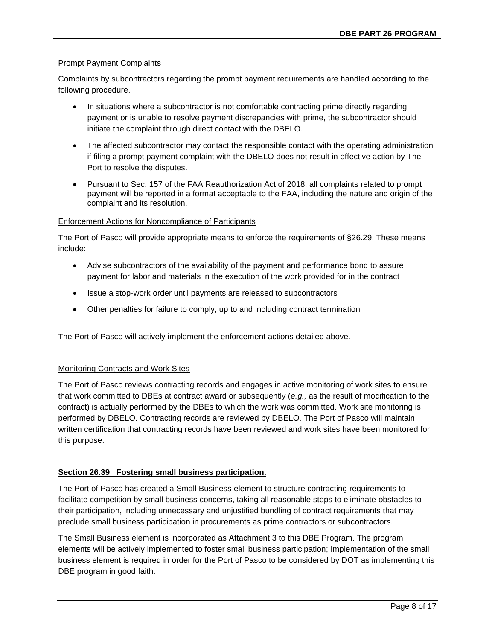# Prompt Payment Complaints

Complaints by subcontractors regarding the prompt payment requirements are handled according to the following procedure.

- In situations where a subcontractor is not comfortable contracting prime directly regarding payment or is unable to resolve payment discrepancies with prime, the subcontractor should initiate the complaint through direct contact with the DBELO.
- The affected subcontractor may contact the responsible contact with the operating administration if filing a prompt payment complaint with the DBELO does not result in effective action by The Port to resolve the disputes.
- Pursuant to Sec. 157 of the FAA Reauthorization Act of 2018, all complaints related to prompt payment will be reported in a format acceptable to the FAA, including the nature and origin of the complaint and its resolution.

### Enforcement Actions for Noncompliance of Participants

The Port of Pasco will provide appropriate means to enforce the requirements of §26.29. These means include:

- Advise subcontractors of the availability of the payment and performance bond to assure payment for labor and materials in the execution of the work provided for in the contract
- Issue a stop-work order until payments are released to subcontractors
- Other penalties for failure to comply, up to and including contract termination

The Port of Pasco will actively implement the enforcement actions detailed above.

### Monitoring Contracts and Work Sites

The Port of Pasco reviews contracting records and engages in active monitoring of work sites to ensure that work committed to DBEs at contract award or subsequently (*e.g.,* as the result of modification to the contract) is actually performed by the DBEs to which the work was committed. Work site monitoring is performed by DBELO. Contracting records are reviewed by DBELO. The Port of Pasco will maintain written certification that contracting records have been reviewed and work sites have been monitored for this purpose.

### **Section 26.39 Fostering small business participation.**

The Port of Pasco has created a Small Business element to structure contracting requirements to facilitate competition by small business concerns, taking all reasonable steps to eliminate obstacles to their participation, including unnecessary and unjustified bundling of contract requirements that may preclude small business participation in procurements as prime contractors or subcontractors.

The Small Business element is incorporated as Attachment 3 to this DBE Program. The program elements will be actively implemented to foster small business participation; Implementation of the small business element is required in order for the Port of Pasco to be considered by DOT as implementing this DBE program in good faith.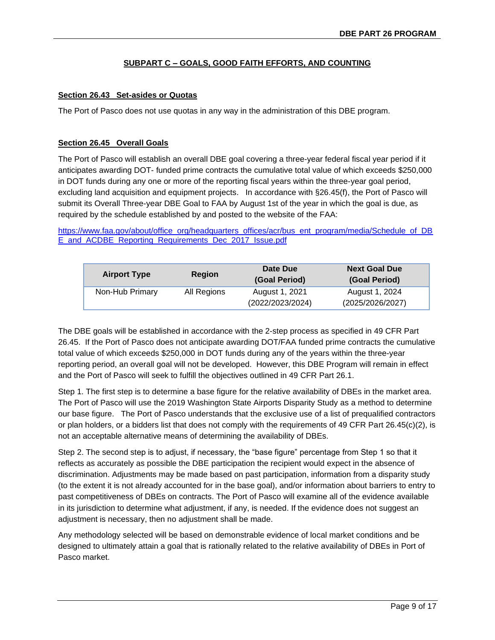# **SUBPART C – GOALS, GOOD FAITH EFFORTS, AND COUNTING**

### **Section 26.43 Set-asides or Quotas**

The Port of Pasco does not use quotas in any way in the administration of this DBE program.

### **Section 26.45 Overall Goals**

The Port of Pasco will establish an overall DBE goal covering a three-year federal fiscal year period if it anticipates awarding DOT- funded prime contracts the cumulative total value of which exceeds \$250,000 in DOT funds during any one or more of the reporting fiscal years within the three-year goal period, excluding land acquisition and equipment projects. In accordance with §26.45(f), the Port of Pasco will submit its Overall Three-year DBE Goal to FAA by August 1st of the year in which the goal is due, as required by the schedule established by and posted to the website of the FAA:

[https://www.faa.gov/about/office\\_org/headquarters\\_offices/acr/bus\\_ent\\_program/media/Schedule\\_of\\_DB](https://www.faa.gov/about/office_org/headquarters_offices/acr/bus_ent_program/media/Schedule_of_DBE_and_ACDBE_Reporting_Requirements_Dec_2017_Issue.pdf) [E\\_and\\_ACDBE\\_Reporting\\_Requirements\\_Dec\\_2017\\_Issue.pdf](https://www.faa.gov/about/office_org/headquarters_offices/acr/bus_ent_program/media/Schedule_of_DBE_and_ACDBE_Reporting_Requirements_Dec_2017_Issue.pdf)

| <b>Airport Type</b> | <b>Region</b> | Date Due<br>(Goal Period)          | <b>Next Goal Due</b><br>(Goal Period) |
|---------------------|---------------|------------------------------------|---------------------------------------|
| Non-Hub Primary     | All Regions   | August 1, 2021<br>(2022/2023/2024) | August 1, 2024<br>(2025/2026/2027)    |

The DBE goals will be established in accordance with the 2-step process as specified in 49 CFR Part 26.45. If the Port of Pasco does not anticipate awarding DOT/FAA funded prime contracts the cumulative total value of which exceeds \$250,000 in DOT funds during any of the years within the three-year reporting period, an overall goal will not be developed. However, this DBE Program will remain in effect and the Port of Pasco will seek to fulfill the objectives outlined in 49 CFR Part 26.1.

Step 1. The first step is to determine a base figure for the relative availability of DBEs in the market area. The Port of Pasco will use the 2019 Washington State Airports Disparity Study as a method to determine our base figure. The Port of Pasco understands that the exclusive use of a list of prequalified contractors or plan holders, or a bidders list that does not comply with the requirements of 49 CFR Part 26.45(c)(2), is not an acceptable alternative means of determining the availability of DBEs.

Step 2. The second step is to adjust, if necessary, the "base figure" percentage from Step 1 so that it reflects as accurately as possible the DBE participation the recipient would expect in the absence of discrimination. Adjustments may be made based on past participation, information from a disparity study (to the extent it is not already accounted for in the base goal), and/or information about barriers to entry to past competitiveness of DBEs on contracts. The Port of Pasco will examine all of the evidence available in its jurisdiction to determine what adjustment, if any, is needed. If the evidence does not suggest an adjustment is necessary, then no adjustment shall be made.

Any methodology selected will be based on demonstrable evidence of local market conditions and be designed to ultimately attain a goal that is rationally related to the relative availability of DBEs in Port of Pasco market.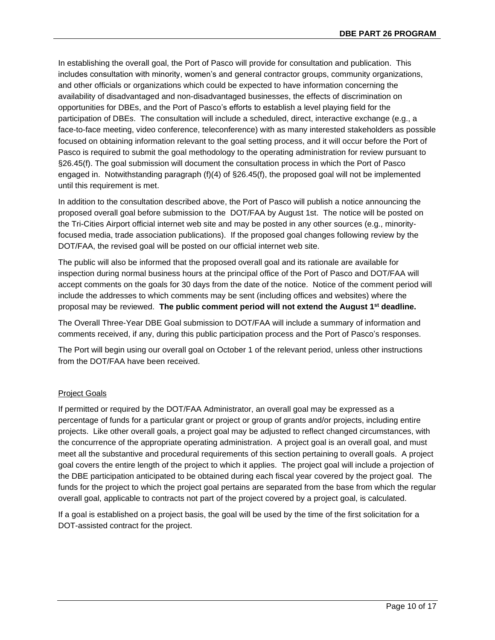In establishing the overall goal, the Port of Pasco will provide for consultation and publication. This includes consultation with minority, women's and general contractor groups, community organizations, and other officials or organizations which could be expected to have information concerning the availability of disadvantaged and non-disadvantaged businesses, the effects of discrimination on opportunities for DBEs, and the Port of Pasco's efforts to establish a level playing field for the participation of DBEs. The consultation will include a scheduled, direct, interactive exchange (e.g., a face-to-face meeting, video conference, teleconference) with as many interested stakeholders as possible focused on obtaining information relevant to the goal setting process, and it will occur before the Port of Pasco is required to submit the goal methodology to the operating administration for review pursuant to §26.45(f). The goal submission will document the consultation process in which the Port of Pasco engaged in. Notwithstanding paragraph (f)(4) of §26.45(f), the proposed goal will not be implemented until this requirement is met.

In addition to the consultation described above, the Port of Pasco will publish a notice announcing the proposed overall goal before submission to the DOT/FAA by August 1st. The notice will be posted on the Tri-Cities Airport official internet web site and may be posted in any other sources (e.g., minorityfocused media, trade association publications). If the proposed goal changes following review by the DOT/FAA, the revised goal will be posted on our official internet web site.

The public will also be informed that the proposed overall goal and its rationale are available for inspection during normal business hours at the principal office of the Port of Pasco and DOT/FAA will accept comments on the goals for 30 days from the date of the notice. Notice of the comment period will include the addresses to which comments may be sent (including offices and websites) where the proposal may be reviewed. **The public comment period will not extend the August 1st deadline.**

The Overall Three-Year DBE Goal submission to DOT/FAA will include a summary of information and comments received, if any, during this public participation process and the Port of Pasco's responses.

The Port will begin using our overall goal on October 1 of the relevant period, unless other instructions from the DOT/FAA have been received.

# Project Goals

If permitted or required by the DOT/FAA Administrator, an overall goal may be expressed as a percentage of funds for a particular grant or project or group of grants and/or projects, including entire projects. Like other overall goals, a project goal may be adjusted to reflect changed circumstances, with the concurrence of the appropriate operating administration. A project goal is an overall goal, and must meet all the substantive and procedural requirements of this section pertaining to overall goals. A project goal covers the entire length of the project to which it applies. The project goal will include a projection of the DBE participation anticipated to be obtained during each fiscal year covered by the project goal. The funds for the project to which the project goal pertains are separated from the base from which the regular overall goal, applicable to contracts not part of the project covered by a project goal, is calculated.

If a goal is established on a project basis, the goal will be used by the time of the first solicitation for a DOT-assisted contract for the project.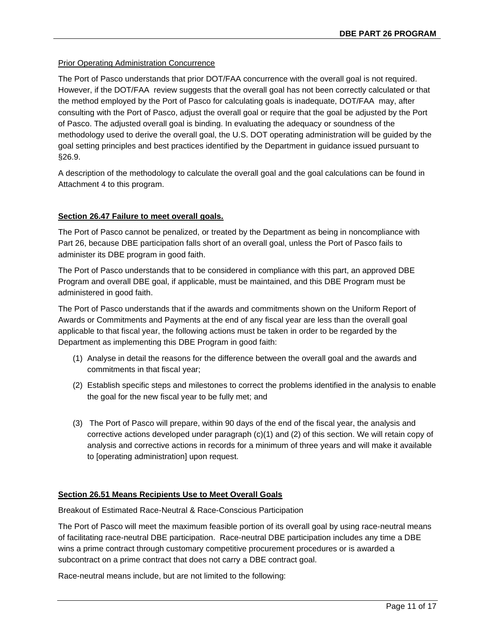# Prior Operating Administration Concurrence

The Port of Pasco understands that prior DOT/FAA concurrence with the overall goal is not required. However, if the DOT/FAA review suggests that the overall goal has not been correctly calculated or that the method employed by the Port of Pasco for calculating goals is inadequate, DOT/FAA may, after consulting with the Port of Pasco, adjust the overall goal or require that the goal be adjusted by the Port of Pasco. The adjusted overall goal is binding. In evaluating the adequacy or soundness of the methodology used to derive the overall goal, the U.S. DOT operating administration will be guided by the goal setting principles and best practices identified by the Department in guidance issued pursuant to §26.9.

A description of the methodology to calculate the overall goal and the goal calculations can be found in Attachment 4 to this program.

# **Section 26.47 Failure to meet overall goals.**

The Port of Pasco cannot be penalized, or treated by the Department as being in noncompliance with Part 26, because DBE participation falls short of an overall goal, unless the Port of Pasco fails to administer its DBE program in good faith.

The Port of Pasco understands that to be considered in compliance with this part, an approved DBE Program and overall DBE goal, if applicable, must be maintained, and this DBE Program must be administered in good faith.

The Port of Pasco understands that if the awards and commitments shown on the Uniform Report of Awards or Commitments and Payments at the end of any fiscal year are less than the overall goal applicable to that fiscal year, the following actions must be taken in order to be regarded by the Department as implementing this DBE Program in good faith:

- (1) Analyse in detail the reasons for the difference between the overall goal and the awards and commitments in that fiscal year;
- (2) Establish specific steps and milestones to correct the problems identified in the analysis to enable the goal for the new fiscal year to be fully met; and
- (3) The Port of Pasco will prepare, within 90 days of the end of the fiscal year, the analysis and corrective actions developed under paragraph (c)(1) and (2) of this section. We will retain copy of analysis and corrective actions in records for a minimum of three years and will make it available to [operating administration] upon request.

# **Section 26.51 Means Recipients Use to Meet Overall Goals**

Breakout of Estimated Race-Neutral & Race-Conscious Participation

The Port of Pasco will meet the maximum feasible portion of its overall goal by using race-neutral means of facilitating race-neutral DBE participation. Race-neutral DBE participation includes any time a DBE wins a prime contract through customary competitive procurement procedures or is awarded a subcontract on a prime contract that does not carry a DBE contract goal.

Race-neutral means include, but are not limited to the following: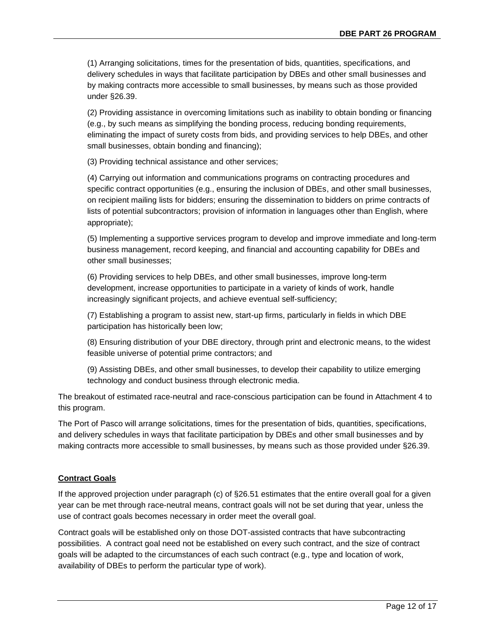(1) Arranging solicitations, times for the presentation of bids, quantities, specifications, and delivery schedules in ways that facilitate participation by DBEs and other small businesses and by making contracts more accessible to small businesses, by means such as those provided under §26.39.

(2) Providing assistance in overcoming limitations such as inability to obtain bonding or financing (e.g., by such means as simplifying the bonding process, reducing bonding requirements, eliminating the impact of surety costs from bids, and providing services to help DBEs, and other small businesses, obtain bonding and financing);

(3) Providing technical assistance and other services;

(4) Carrying out information and communications programs on contracting procedures and specific contract opportunities (e.g., ensuring the inclusion of DBEs, and other small businesses, on recipient mailing lists for bidders; ensuring the dissemination to bidders on prime contracts of lists of potential subcontractors; provision of information in languages other than English, where appropriate);

(5) Implementing a supportive services program to develop and improve immediate and long-term business management, record keeping, and financial and accounting capability for DBEs and other small businesses;

(6) Providing services to help DBEs, and other small businesses, improve long-term development, increase opportunities to participate in a variety of kinds of work, handle increasingly significant projects, and achieve eventual self-sufficiency;

(7) Establishing a program to assist new, start-up firms, particularly in fields in which DBE participation has historically been low;

(8) Ensuring distribution of your DBE directory, through print and electronic means, to the widest feasible universe of potential prime contractors; and

(9) Assisting DBEs, and other small businesses, to develop their capability to utilize emerging technology and conduct business through electronic media.

The breakout of estimated race-neutral and race-conscious participation can be found in Attachment 4 to this program.

The Port of Pasco will arrange solicitations, times for the presentation of bids, quantities, specifications, and delivery schedules in ways that facilitate participation by DBEs and other small businesses and by making contracts more accessible to small businesses, by means such as those provided under §26.39.

# **Contract Goals**

If the approved projection under paragraph (c) of §26.51 estimates that the entire overall goal for a given year can be met through race-neutral means, contract goals will not be set during that year, unless the use of contract goals becomes necessary in order meet the overall goal.

Contract goals will be established only on those DOT-assisted contracts that have subcontracting possibilities. A contract goal need not be established on every such contract, and the size of contract goals will be adapted to the circumstances of each such contract (e.g., type and location of work, availability of DBEs to perform the particular type of work).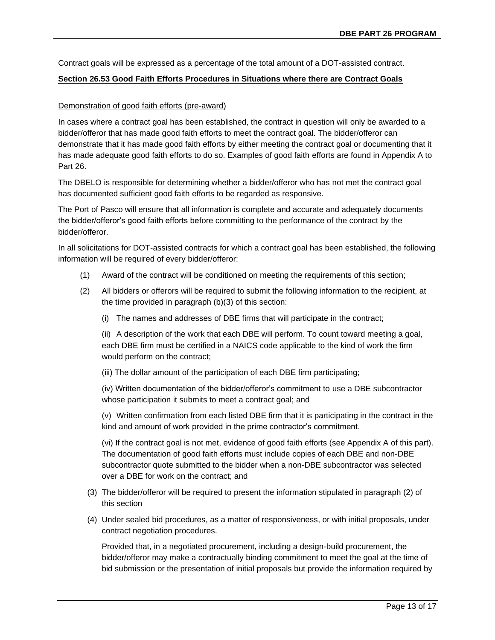Contract goals will be expressed as a percentage of the total amount of a DOT-assisted contract.

#### **Section 26.53 Good Faith Efforts Procedures in Situations where there are Contract Goals**

#### Demonstration of good faith efforts (pre-award)

In cases where a contract goal has been established, the contract in question will only be awarded to a bidder/offeror that has made good faith efforts to meet the contract goal. The bidder/offeror can demonstrate that it has made good faith efforts by either meeting the contract goal or documenting that it has made adequate good faith efforts to do so. Examples of good faith efforts are found in Appendix A to Part 26.

The DBELO is responsible for determining whether a bidder/offeror who has not met the contract goal has documented sufficient good faith efforts to be regarded as responsive.

The Port of Pasco will ensure that all information is complete and accurate and adequately documents the bidder/offeror's good faith efforts before committing to the performance of the contract by the bidder/offeror.

In all solicitations for DOT-assisted contracts for which a contract goal has been established, the following information will be required of every bidder/offeror:

- (1) Award of the contract will be conditioned on meeting the requirements of this section;
- (2) All bidders or offerors will be required to submit the following information to the recipient, at the time provided in paragraph (b)(3) of this section:
	- (i) The names and addresses of DBE firms that will participate in the contract;

(ii) A description of the work that each DBE will perform. To count toward meeting a goal, each DBE firm must be certified in a NAICS code applicable to the kind of work the firm would perform on the contract;

(iii) The dollar amount of the participation of each DBE firm participating;

(iv) Written documentation of the bidder/offeror's commitment to use a DBE subcontractor whose participation it submits to meet a contract goal; and

(v) Written confirmation from each listed DBE firm that it is participating in the contract in the kind and amount of work provided in the prime contractor's commitment.

(vi) If the contract goal is not met, evidence of good faith efforts (see Appendix A of this part). The documentation of good faith efforts must include copies of each DBE and non-DBE subcontractor quote submitted to the bidder when a non-DBE subcontractor was selected over a DBE for work on the contract; and

- (3) The bidder/offeror will be required to present the information stipulated in paragraph (2) of this section
- (4) Under sealed bid procedures, as a matter of responsiveness, or with initial proposals, under contract negotiation procedures.

Provided that, in a negotiated procurement, including a design-build procurement, the bidder/offeror may make a contractually binding commitment to meet the goal at the time of bid submission or the presentation of initial proposals but provide the information required by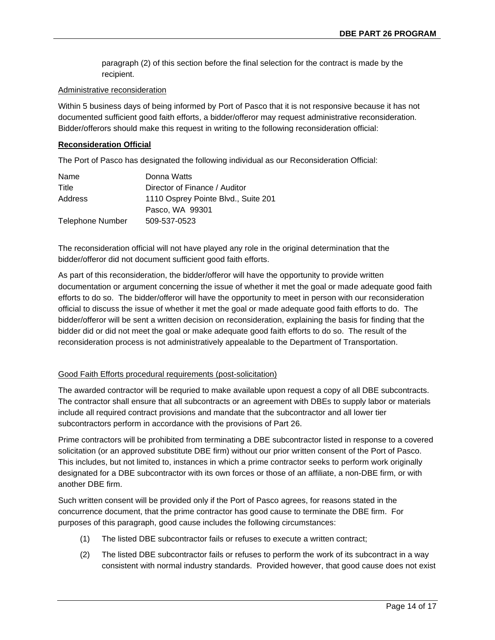paragraph (2) of this section before the final selection for the contract is made by the recipient.

#### Administrative reconsideration

Within 5 business days of being informed by Port of Pasco that it is not responsive because it has not documented sufficient good faith efforts, a bidder/offeror may request administrative reconsideration. Bidder/offerors should make this request in writing to the following reconsideration official:

#### **Reconsideration Official**

The Port of Pasco has designated the following individual as our Reconsideration Official:

| Name                    | Donna Watts                         |
|-------------------------|-------------------------------------|
| Title                   | Director of Finance / Auditor       |
| Address                 | 1110 Osprey Pointe Blvd., Suite 201 |
|                         | Pasco, WA 99301                     |
| <b>Telephone Number</b> | 509-537-0523                        |

The reconsideration official will not have played any role in the original determination that the bidder/offeror did not document sufficient good faith efforts.

As part of this reconsideration, the bidder/offeror will have the opportunity to provide written documentation or argument concerning the issue of whether it met the goal or made adequate good faith efforts to do so. The bidder/offeror will have the opportunity to meet in person with our reconsideration official to discuss the issue of whether it met the goal or made adequate good faith efforts to do. The bidder/offeror will be sent a written decision on reconsideration, explaining the basis for finding that the bidder did or did not meet the goal or make adequate good faith efforts to do so. The result of the reconsideration process is not administratively appealable to the Department of Transportation.

### Good Faith Efforts procedural requirements (post-solicitation)

The awarded contractor will be requried to make available upon request a copy of all DBE subcontracts. The contractor shall ensure that all subcontracts or an agreement with DBEs to supply labor or materials include all required contract provisions and mandate that the subcontractor and all lower tier subcontractors perform in accordance with the provisions of Part 26.

Prime contractors will be prohibited from terminating a DBE subcontractor listed in response to a covered solicitation (or an approved substitute DBE firm) without our prior written consent of the Port of Pasco. This includes, but not limited to, instances in which a prime contractor seeks to perform work originally designated for a DBE subcontractor with its own forces or those of an affiliate, a non-DBE firm, or with another DBE firm.

Such written consent will be provided only if the Port of Pasco agrees, for reasons stated in the concurrence document, that the prime contractor has good cause to terminate the DBE firm. For purposes of this paragraph, good cause includes the following circumstances:

- (1) The listed DBE subcontractor fails or refuses to execute a written contract;
- (2) The listed DBE subcontractor fails or refuses to perform the work of its subcontract in a way consistent with normal industry standards. Provided however, that good cause does not exist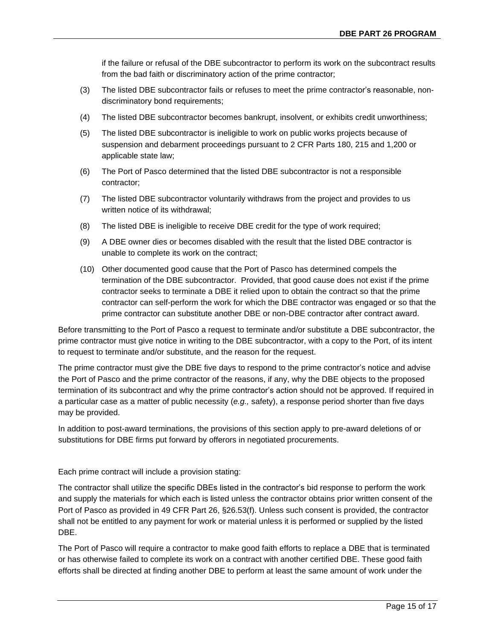if the failure or refusal of the DBE subcontractor to perform its work on the subcontract results from the bad faith or discriminatory action of the prime contractor;

- (3) The listed DBE subcontractor fails or refuses to meet the prime contractor's reasonable, nondiscriminatory bond requirements;
- (4) The listed DBE subcontractor becomes bankrupt, insolvent, or exhibits credit unworthiness;
- (5) The listed DBE subcontractor is ineligible to work on public works projects because of suspension and debarment proceedings pursuant to 2 CFR Parts 180, 215 and 1,200 or applicable state law;
- (6) The Port of Pasco determined that the listed DBE subcontractor is not a responsible contractor;
- (7) The listed DBE subcontractor voluntarily withdraws from the project and provides to us written notice of its withdrawal;
- (8) The listed DBE is ineligible to receive DBE credit for the type of work required;
- (9) A DBE owner dies or becomes disabled with the result that the listed DBE contractor is unable to complete its work on the contract;
- (10) Other documented good cause that the Port of Pasco has determined compels the termination of the DBE subcontractor. Provided, that good cause does not exist if the prime contractor seeks to terminate a DBE it relied upon to obtain the contract so that the prime contractor can self-perform the work for which the DBE contractor was engaged or so that the prime contractor can substitute another DBE or non-DBE contractor after contract award.

Before transmitting to the Port of Pasco a request to terminate and/or substitute a DBE subcontractor, the prime contractor must give notice in writing to the DBE subcontractor, with a copy to the Port, of its intent to request to terminate and/or substitute, and the reason for the request.

The prime contractor must give the DBE five days to respond to the prime contractor's notice and advise the Port of Pasco and the prime contractor of the reasons, if any, why the DBE objects to the proposed termination of its subcontract and why the prime contractor's action should not be approved. If required in a particular case as a matter of public necessity (*e.g.,* safety), a response period shorter than five days may be provided.

In addition to post-award terminations, the provisions of this section apply to pre-award deletions of or substitutions for DBE firms put forward by offerors in negotiated procurements.

Each prime contract will include a provision stating:

The contractor shall utilize the specific DBEs listed in the contractor's bid response to perform the work and supply the materials for which each is listed unless the contractor obtains prior written consent of the Port of Pasco as provided in 49 CFR Part 26, §26.53(f). Unless such consent is provided, the contractor shall not be entitled to any payment for work or material unless it is performed or supplied by the listed DBE.

The Port of Pasco will require a contractor to make good faith efforts to replace a DBE that is terminated or has otherwise failed to complete its work on a contract with another certified DBE. These good faith efforts shall be directed at finding another DBE to perform at least the same amount of work under the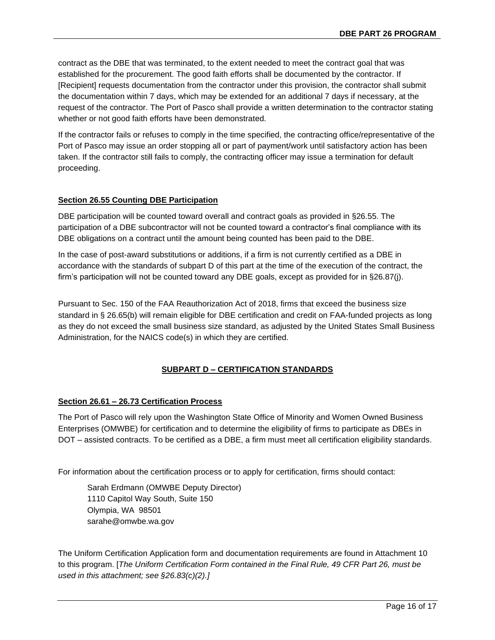contract as the DBE that was terminated, to the extent needed to meet the contract goal that was established for the procurement. The good faith efforts shall be documented by the contractor. If [Recipient] requests documentation from the contractor under this provision, the contractor shall submit the documentation within 7 days, which may be extended for an additional 7 days if necessary, at the request of the contractor. The Port of Pasco shall provide a written determination to the contractor stating whether or not good faith efforts have been demonstrated.

If the contractor fails or refuses to comply in the time specified, the contracting office/representative of the Port of Pasco may issue an order stopping all or part of payment/work until satisfactory action has been taken. If the contractor still fails to comply, the contracting officer may issue a termination for default proceeding.

# **Section 26.55 Counting DBE Participation**

DBE participation will be counted toward overall and contract goals as provided in §26.55. The participation of a DBE subcontractor will not be counted toward a contractor's final compliance with its DBE obligations on a contract until the amount being counted has been paid to the DBE.

In the case of post-award substitutions or additions, if a firm is not currently certified as a DBE in accordance with the standards of subpart D of this part at the time of the execution of the contract, the firm's participation will not be counted toward any DBE goals, except as provided for in §26.87(j).

Pursuant to Sec. 150 of the FAA Reauthorization Act of 2018, firms that exceed the business size standard in § 26.65(b) will remain eligible for DBE certification and credit on FAA-funded projects as long as they do not exceed the small business size standard, as adjusted by the United States Small Business Administration, for the NAICS code(s) in which they are certified.

# **SUBPART D – CERTIFICATION STANDARDS**

# **Section 26.61 – 26.73 Certification Process**

The Port of Pasco will rely upon the Washington State Office of Minority and Women Owned Business Enterprises (OMWBE) for certification and to determine the eligibility of firms to participate as DBEs in DOT – assisted contracts. To be certified as a DBE, a firm must meet all certification eligibility standards.

For information about the certification process or to apply for certification, firms should contact:

Sarah Erdmann (OMWBE Deputy Director) 1110 Capitol Way South, Suite 150 Olympia, WA 98501 sarahe@omwbe.wa.gov

The Uniform Certification Application form and documentation requirements are found in Attachment 10 to this program. [*The Uniform Certification Form contained in the Final Rule, 49 CFR Part 26, must be used in this attachment; see §26.83(c)(2).]*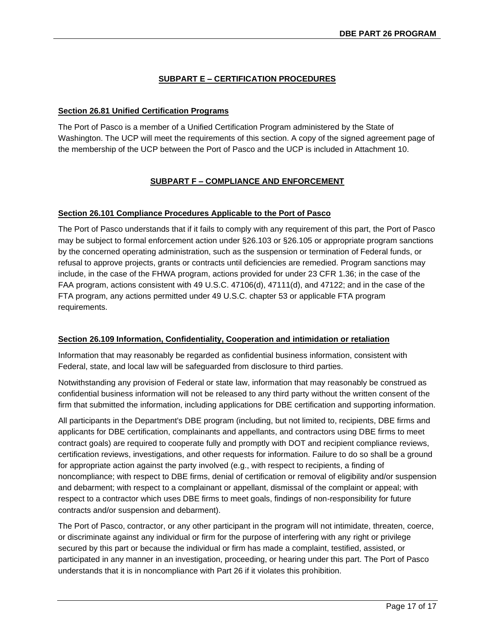# **SUBPART E – CERTIFICATION PROCEDURES**

# **Section 26.81 Unified Certification Programs**

The Port of Pasco is a member of a Unified Certification Program administered by the State of Washington. The UCP will meet the requirements of this section. A copy of the signed agreement page of the membership of the UCP between the Port of Pasco and the UCP is included in Attachment 10.

# **SUBPART F – COMPLIANCE AND ENFORCEMENT**

# **Section 26.101 Compliance Procedures Applicable to the Port of Pasco**

The Port of Pasco understands that if it fails to comply with any requirement of this part, the Port of Pasco may be subject to formal enforcement action under §26.103 or §26.105 or appropriate program sanctions by the concerned operating administration, such as the suspension or termination of Federal funds, or refusal to approve projects, grants or contracts until deficiencies are remedied. Program sanctions may include, in the case of the FHWA program, actions provided for under 23 CFR 1.36; in the case of the FAA program, actions consistent with 49 U.S.C. 47106(d), 47111(d), and 47122; and in the case of the FTA program, any actions permitted under 49 U.S.C. chapter 53 or applicable FTA program requirements.

# **Section 26.109 Information, Confidentiality, Cooperation and intimidation or retaliation**

Information that may reasonably be regarded as confidential business information, consistent with Federal, state, and local law will be safeguarded from disclosure to third parties.

Notwithstanding any provision of Federal or state law, information that may reasonably be construed as confidential business information will not be released to any third party without the written consent of the firm that submitted the information, including applications for DBE certification and supporting information.

All participants in the Department's DBE program (including, but not limited to, recipients, DBE firms and applicants for DBE certification, complainants and appellants, and contractors using DBE firms to meet contract goals) are required to cooperate fully and promptly with DOT and recipient compliance reviews, certification reviews, investigations, and other requests for information. Failure to do so shall be a ground for appropriate action against the party involved (e.g., with respect to recipients, a finding of noncompliance; with respect to DBE firms, denial of certification or removal of eligibility and/or suspension and debarment; with respect to a complainant or appellant, dismissal of the complaint or appeal; with respect to a contractor which uses DBE firms to meet goals, findings of non-responsibility for future contracts and/or suspension and debarment).

The Port of Pasco, contractor, or any other participant in the program will not intimidate, threaten, coerce, or discriminate against any individual or firm for the purpose of interfering with any right or privilege secured by this part or because the individual or firm has made a complaint, testified, assisted, or participated in any manner in an investigation, proceeding, or hearing under this part. The Port of Pasco understands that it is in noncompliance with Part 26 if it violates this prohibition.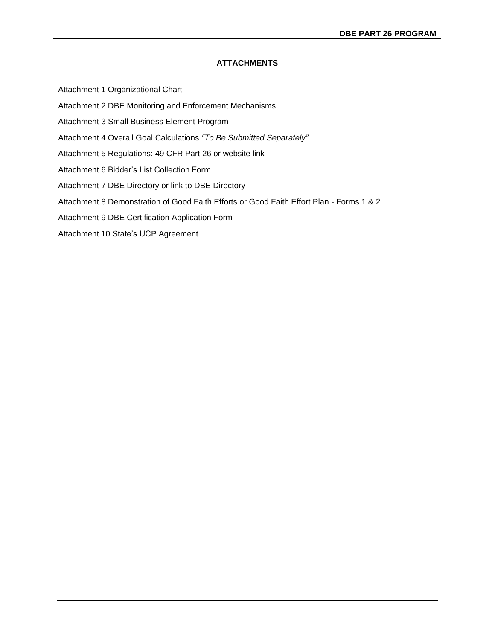Attachment 1 Organizational Chart

- Attachment 2 DBE Monitoring and Enforcement Mechanisms
- Attachment 3 Small Business Element Program
- Attachment 4 Overall Goal Calculations *"To Be Submitted Separately"*
- Attachment 5 Regulations: 49 CFR Part 26 or website link
- Attachment 6 Bidder's List Collection Form
- Attachment 7 DBE Directory or link to DBE Directory
- Attachment 8 Demonstration of Good Faith Efforts or Good Faith Effort Plan Forms 1 & 2
- Attachment 9 DBE Certification Application Form
- Attachment 10 State's UCP Agreement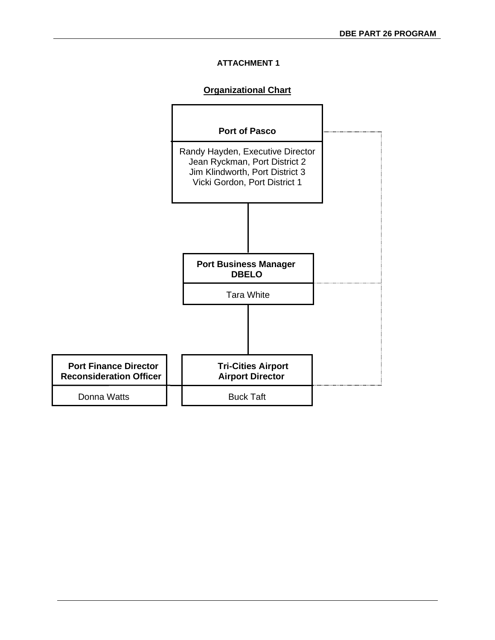# **Organizational Chart**

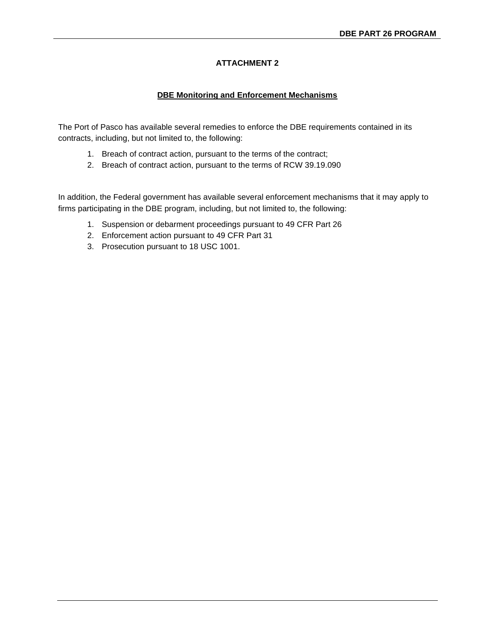# **DBE Monitoring and Enforcement Mechanisms**

The Port of Pasco has available several remedies to enforce the DBE requirements contained in its contracts, including, but not limited to, the following:

- 1. Breach of contract action, pursuant to the terms of the contract;
- 2. Breach of contract action, pursuant to the terms of RCW 39.19.090

In addition, the Federal government has available several enforcement mechanisms that it may apply to firms participating in the DBE program, including, but not limited to, the following:

- 1. Suspension or debarment proceedings pursuant to 49 CFR Part 26
- 2. Enforcement action pursuant to 49 CFR Part 31
- 3. Prosecution pursuant to 18 USC 1001.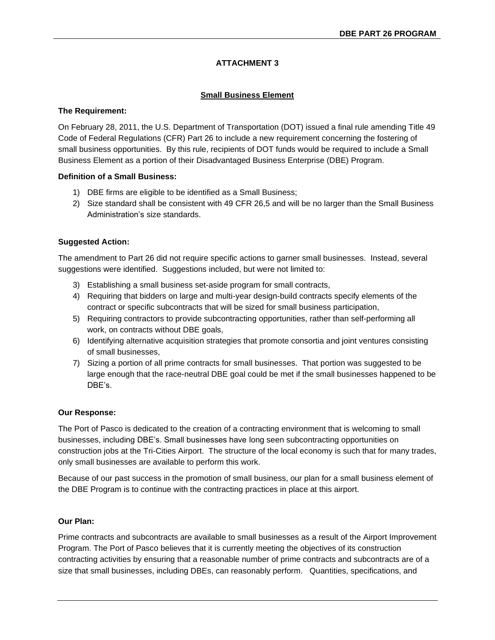# **Small Business Element**

# **The Requirement:**

On February 28, 2011, the U.S. Department of Transportation (DOT) issued a final rule amending Title 49 Code of Federal Regulations (CFR) Part 26 to include a new requirement concerning the fostering of small business opportunities. By this rule, recipients of DOT funds would be required to include a Small Business Element as a portion of their Disadvantaged Business Enterprise (DBE) Program.

# **Definition of a Small Business:**

- 1) DBE firms are eligible to be identified as a Small Business;
- 2) Size standard shall be consistent with 49 CFR 26,5 and will be no larger than the Small Business Administration's size standards.

# **Suggested Action:**

The amendment to Part 26 did not require specific actions to garner small businesses. Instead, several suggestions were identified. Suggestions included, but were not limited to:

- 3) Establishing a small business set-aside program for small contracts,
- 4) Requiring that bidders on large and multi-year design-build contracts specify elements of the contract or specific subcontracts that will be sized for small business participation,
- 5) Requiring contractors to provide subcontracting opportunities, rather than self-performing all work, on contracts without DBE goals,
- 6) Identifying alternative acquisition strategies that promote consortia and joint ventures consisting of small businesses,
- 7) Sizing a portion of all prime contracts for small businesses. That portion was suggested to be large enough that the race-neutral DBE goal could be met if the small businesses happened to be DBE's.

# **Our Response:**

The Port of Pasco is dedicated to the creation of a contracting environment that is welcoming to small businesses, including DBE's. Small businesses have long seen subcontracting opportunities on construction jobs at the Tri-Cities Airport. The structure of the local economy is such that for many trades, only small businesses are available to perform this work.

Because of our past success in the promotion of small business, our plan for a small business element of the DBE Program is to continue with the contracting practices in place at this airport.

# **Our Plan:**

Prime contracts and subcontracts are available to small businesses as a result of the Airport Improvement Program. The Port of Pasco believes that it is currently meeting the objectives of its construction contracting activities by ensuring that a reasonable number of prime contracts and subcontracts are of a size that small businesses, including DBEs, can reasonably perform. Quantities, specifications, and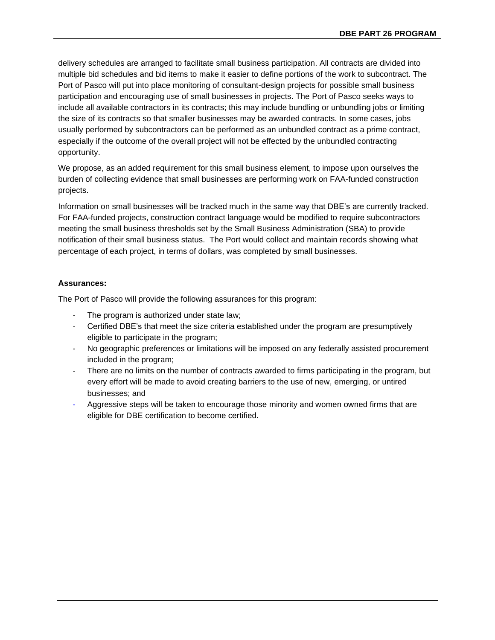delivery schedules are arranged to facilitate small business participation. All contracts are divided into multiple bid schedules and bid items to make it easier to define portions of the work to subcontract. The Port of Pasco will put into place monitoring of consultant-design projects for possible small business participation and encouraging use of small businesses in projects. The Port of Pasco seeks ways to include all available contractors in its contracts; this may include bundling or unbundling jobs or limiting the size of its contracts so that smaller businesses may be awarded contracts. In some cases, jobs usually performed by subcontractors can be performed as an unbundled contract as a prime contract, especially if the outcome of the overall project will not be effected by the unbundled contracting opportunity.

We propose, as an added requirement for this small business element, to impose upon ourselves the burden of collecting evidence that small businesses are performing work on FAA-funded construction projects.

Information on small businesses will be tracked much in the same way that DBE's are currently tracked. For FAA-funded projects, construction contract language would be modified to require subcontractors meeting the small business thresholds set by the Small Business Administration (SBA) to provide notification of their small business status. The Port would collect and maintain records showing what percentage of each project, in terms of dollars, was completed by small businesses.

# **Assurances:**

The Port of Pasco will provide the following assurances for this program:

- The program is authorized under state law;
- Certified DBE's that meet the size criteria established under the program are presumptively eligible to participate in the program;
- No geographic preferences or limitations will be imposed on any federally assisted procurement included in the program;
- There are no limits on the number of contracts awarded to firms participating in the program, but every effort will be made to avoid creating barriers to the use of new, emerging, or untired businesses; and
- Aggressive steps will be taken to encourage those minority and women owned firms that are eligible for DBE certification to become certified.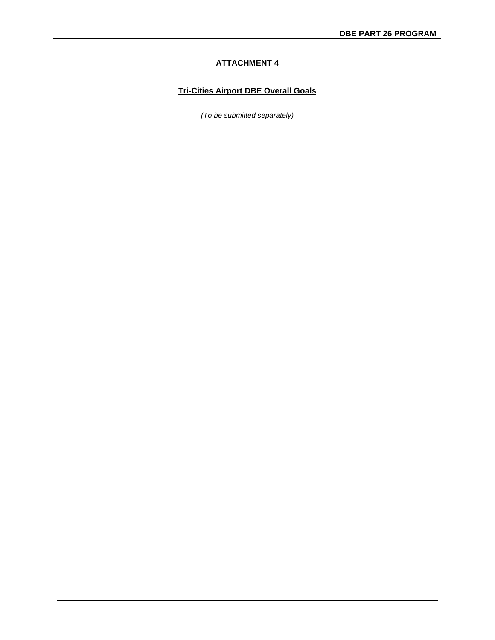# **Tri-Cities Airport DBE Overall Goals**

*(To be submitted separately)*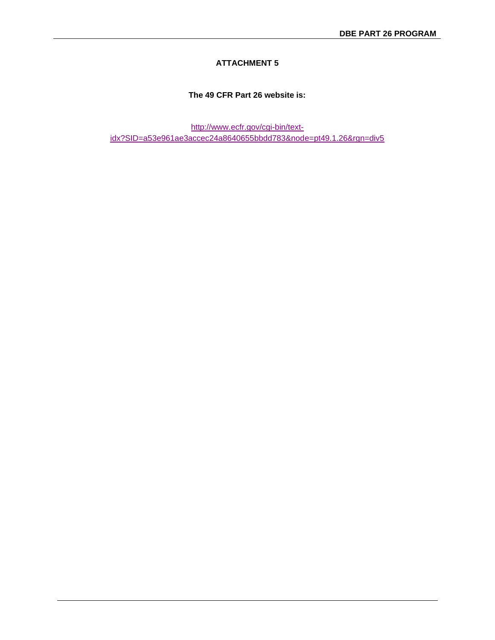# **The 49 CFR Part 26 website is:**

[http://www.ecfr.gov/cgi-bin/text](http://www.ecfr.gov/cgi-bin/text-idx?SID=a53e961ae3accec24a8640655bbdd783&node=pt49.1.26&rgn=div5)[idx?SID=a53e961ae3accec24a8640655bbdd783&node=pt49.1.26&rgn=div5](http://www.ecfr.gov/cgi-bin/text-idx?SID=a53e961ae3accec24a8640655bbdd783&node=pt49.1.26&rgn=div5)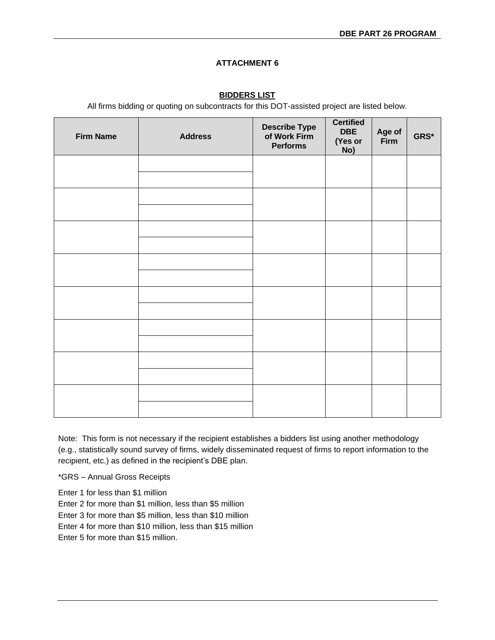# **BIDDERS LIST**

All firms bidding or quoting on subcontracts for this DOT-assisted project are listed below.

| <b>Firm Name</b> | <b>Address</b> | <b>Describe Type</b><br>of Work Firm<br><b>Performs</b> | <b>Certified</b><br><b>DBE</b><br>(Yes or<br>No) | Age of<br>Firm | GRS* |
|------------------|----------------|---------------------------------------------------------|--------------------------------------------------|----------------|------|
|                  |                |                                                         |                                                  |                |      |
|                  |                |                                                         |                                                  |                |      |
|                  |                |                                                         |                                                  |                |      |
|                  |                |                                                         |                                                  |                |      |
|                  |                |                                                         |                                                  |                |      |
|                  |                |                                                         |                                                  |                |      |
|                  |                |                                                         |                                                  |                |      |
|                  |                |                                                         |                                                  |                |      |

Note: This form is not necessary if the recipient establishes a bidders list using another methodology (e.g., statistically sound survey of firms, widely disseminated request of firms to report information to the recipient, etc.) as defined in the recipient's DBE plan.

\*GRS – Annual Gross Receipts

Enter 1 for less than \$1 million Enter 2 for more than \$1 million, less than \$5 million Enter 3 for more than \$5 million, less than \$10 million Enter 4 for more than \$10 million, less than \$15 million Enter 5 for more than \$15 million.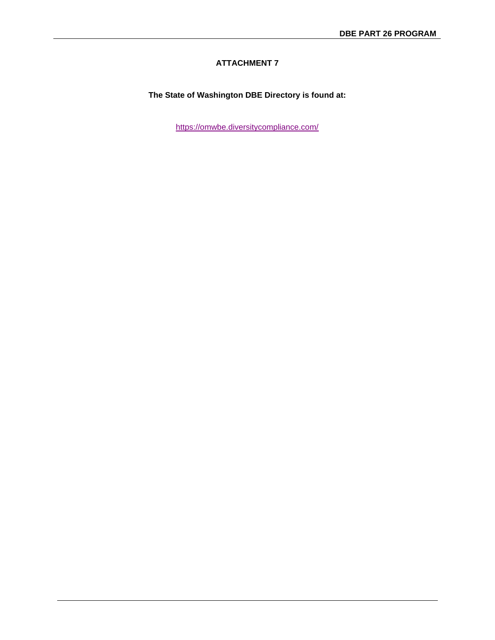# **The State of Washington DBE Directory is found at:**

<https://omwbe.diversitycompliance.com/>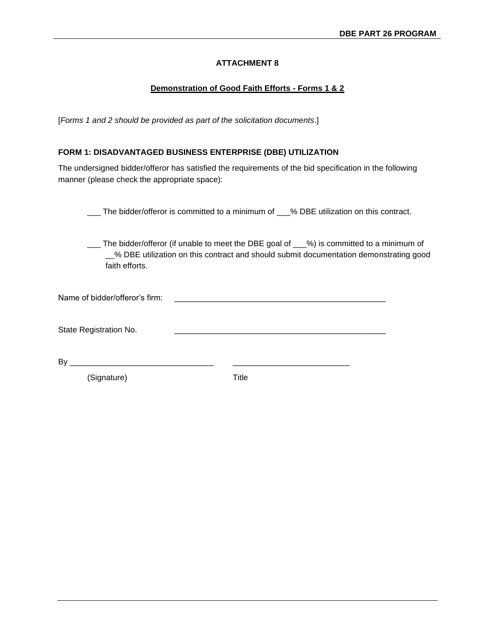### **Demonstration of Good Faith Efforts - Forms 1 & 2**

[*Forms 1 and 2 should be provided as part of the solicitation documents*.]

### **FORM 1: DISADVANTAGED BUSINESS ENTERPRISE (DBE) UTILIZATION**

The undersigned bidder/offeror has satisfied the requirements of the bid specification in the following manner (please check the appropriate space):

\_\_\_ The bidder/offeror is committed to a minimum of \_\_\_% DBE utilization on this contract.

\_\_\_ The bidder/offeror (if unable to meet the DBE goal of \_\_\_%) is committed to a minimum of \_\_% DBE utilization on this contract and should submit documentation demonstrating good faith efforts.

State Registration No.

By \_\_\_\_\_\_\_\_\_\_\_\_\_\_\_\_\_\_\_\_\_\_\_\_\_\_\_\_\_\_\_\_ \_\_\_\_\_\_\_\_\_\_\_\_\_\_\_\_\_\_\_\_\_\_\_\_\_\_

(Signature) Title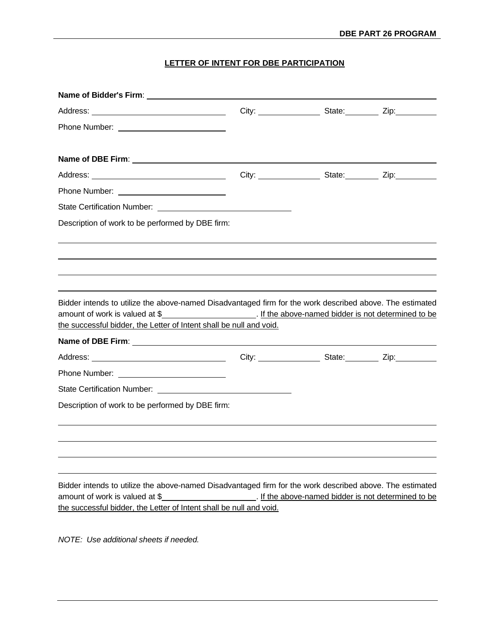# **LETTER OF INTENT FOR DBE PARTICIPATION**

| Description of work to be performed by DBE firm:                                                                                                                                                                  |                                                                                  |  |
|-------------------------------------------------------------------------------------------------------------------------------------------------------------------------------------------------------------------|----------------------------------------------------------------------------------|--|
| Bidder intends to utilize the above-named Disadvantaged firm for the work described above. The estimated<br>amount of work is valued at \$<br>the successful bidder, the Letter of Intent shall be null and void. |                                                                                  |  |
|                                                                                                                                                                                                                   |                                                                                  |  |
|                                                                                                                                                                                                                   | City: __________________________State: _____________ Zip: ______________________ |  |
|                                                                                                                                                                                                                   |                                                                                  |  |
|                                                                                                                                                                                                                   |                                                                                  |  |
| Description of work to be performed by DBE firm:                                                                                                                                                                  |                                                                                  |  |
|                                                                                                                                                                                                                   |                                                                                  |  |
| Bidder intends to utilize the above-named Disadvantaged firm for the work described above. The estimated<br>amount of work is valued at \$                                                                        | If the above-named bidder is not determined to be                                |  |
| the successful bidder, the Letter of Intent shall be null and void.                                                                                                                                               |                                                                                  |  |

*NOTE: Use additional sheets if needed.*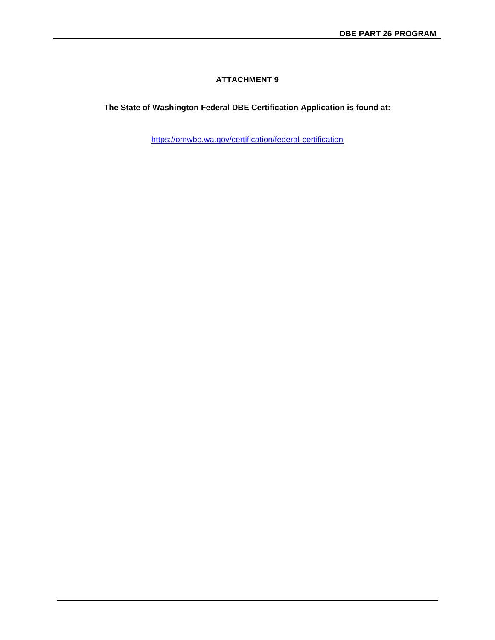**The State of Washington Federal DBE Certification Application is found at:**

<https://omwbe.wa.gov/certification/federal-certification>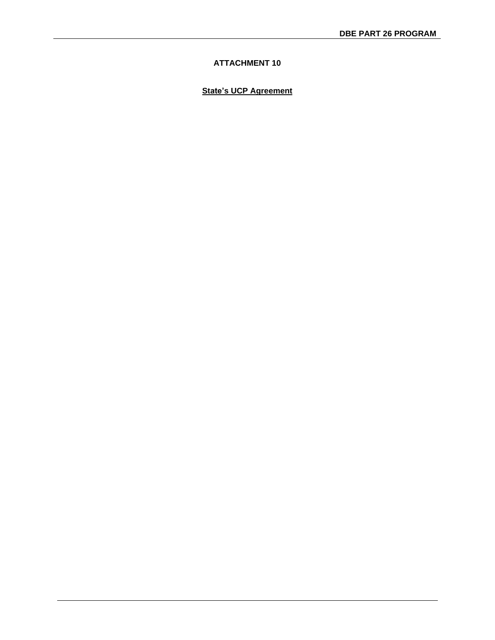# **State's UCP Agreement**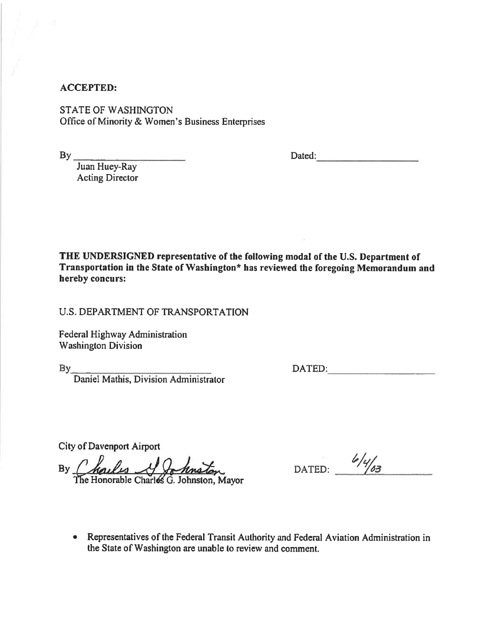# **ACCEPTED:**

**STATE OF WASHINGTON** Office of Minority & Women's Business Enterprises

 $By$ <sub>--</sub>

Dated:

Juan Huey-Ray Acting Director

THE UNDERSIGNED representative of the following modal of the U.S. Department of Transportation in the State of Washington\* has reviewed the foregoing Memorandum and hereby concurs:

**U.S. DEPARTMENT OF TRANSPORTATION** 

Federal Highway Administration **Washington Division** 

 $By$ <sub>------</sub>

Daniel Mathis, Division Administrator

DATED: The contract of the contract of the contract of the contract of the contract of the contract of the contract of the contract of the contract of the contract of the contract of the contract of the contract of the con

**City of Davenport Airport** 

By Charles & Johnston

DATED:  $\frac{6}{463}$ 

• Representatives of the Federal Transit Authority and Federal Aviation Administration in the State of Washington are unable to review and comment.